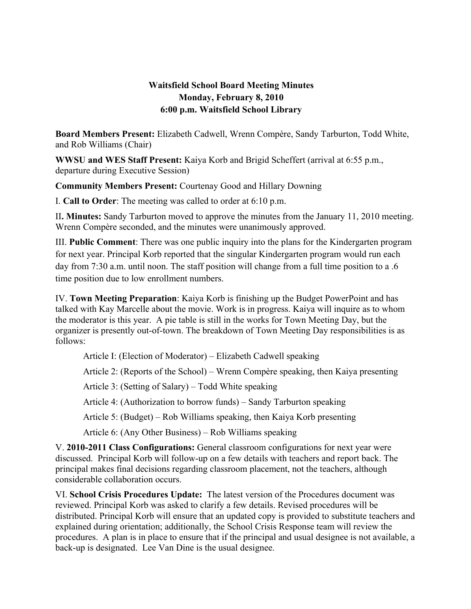## **Waitsfield School Board Meeting Minutes Monday, February 8, 2010 6:00 p.m. Waitsfield School Library**

**Board Members Present:** Elizabeth Cadwell, Wrenn Compère, Sandy Tarburton, Todd White, and Rob Williams (Chair)

**WWSU and WES Staff Present:** Kaiya Korb and Brigid Scheffert (arrival at 6:55 p.m., departure during Executive Session)

**Community Members Present:** Courtenay Good and Hillary Downing

I. **Call to Order**: The meeting was called to order at 6:10 p.m.

II**. Minutes:** Sandy Tarburton moved to approve the minutes from the January 11, 2010 meeting. Wrenn Compère seconded, and the minutes were unanimously approved.

III. **Public Comment**: There was one public inquiry into the plans for the Kindergarten program for next year. Principal Korb reported that the singular Kindergarten program would run each day from 7:30 a.m. until noon. The staff position will change from a full time position to a .6 time position due to low enrollment numbers.

IV. **Town Meeting Preparation**: Kaiya Korb is finishing up the Budget PowerPoint and has talked with Kay Marcelle about the movie. Work is in progress. Kaiya will inquire as to whom the moderator is this year. A pie table is still in the works for Town Meeting Day, but the organizer is presently out-of-town. The breakdown of Town Meeting Day responsibilities is as follows:

Article I: (Election of Moderator) – Elizabeth Cadwell speaking

Article 2: (Reports of the School) – Wrenn Compère speaking, then Kaiya presenting

Article 3: (Setting of Salary) – Todd White speaking

Article 4: (Authorization to borrow funds) – Sandy Tarburton speaking

Article 5: (Budget) – Rob Williams speaking, then Kaiya Korb presenting

Article 6: (Any Other Business) – Rob Williams speaking

V. **2010-2011 Class Configurations:** General classroom configurations for next year were discussed. Principal Korb will follow-up on a few details with teachers and report back. The principal makes final decisions regarding classroom placement, not the teachers, although considerable collaboration occurs.

VI. **School Crisis Procedures Update:** The latest version of the Procedures document was reviewed. Principal Korb was asked to clarify a few details. Revised procedures will be distributed. Principal Korb will ensure that an updated copy is provided to substitute teachers and explained during orientation; additionally, the School Crisis Response team will review the procedures. A plan is in place to ensure that if the principal and usual designee is not available, a back-up is designated. Lee Van Dine is the usual designee.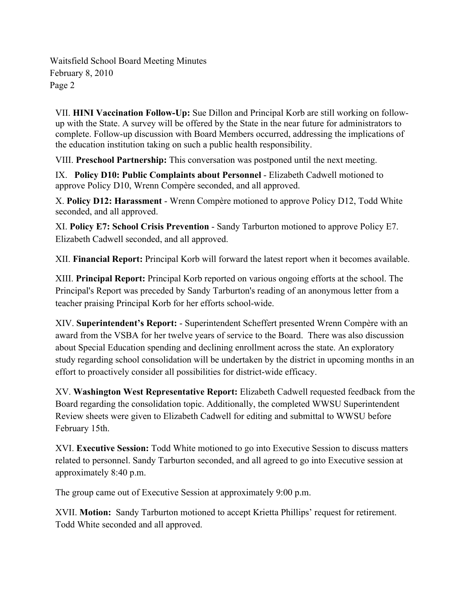Waitsfield School Board Meeting Minutes February 8, 2010 Page 2

VII. **HINI Vaccination Follow-Up:** Sue Dillon and Principal Korb are still working on followup with the State. A survey will be offered by the State in the near future for administrators to complete. Follow-up discussion with Board Members occurred, addressing the implications of the education institution taking on such a public health responsibility.

VIII. **Preschool Partnership:** This conversation was postponed until the next meeting.

IX. **Policy D10: Public Complaints about Personnel** - Elizabeth Cadwell motioned to approve Policy D10, Wrenn Compère seconded, and all approved.

X. **Policy D12: Harassment** - Wrenn Compère motioned to approve Policy D12, Todd White seconded, and all approved.

XI. **Policy E7: School Crisis Prevention** - Sandy Tarburton motioned to approve Policy E7. Elizabeth Cadwell seconded, and all approved.

XII. **Financial Report:** Principal Korb will forward the latest report when it becomes available.

XIII. **Principal Report:** Principal Korb reported on various ongoing efforts at the school. The Principal's Report was preceded by Sandy Tarburton's reading of an anonymous letter from a teacher praising Principal Korb for her efforts school-wide.

XIV. **Superintendent's Report:** - Superintendent Scheffert presented Wrenn Compère with an award from the VSBA for her twelve years of service to the Board. There was also discussion about Special Education spending and declining enrollment across the state. An exploratory study regarding school consolidation will be undertaken by the district in upcoming months in an effort to proactively consider all possibilities for district-wide efficacy.

XV. **Washington West Representative Report:** Elizabeth Cadwell requested feedback from the Board regarding the consolidation topic. Additionally, the completed WWSU Superintendent Review sheets were given to Elizabeth Cadwell for editing and submittal to WWSU before February 15th.

XVI. **Executive Session:** Todd White motioned to go into Executive Session to discuss matters related to personnel. Sandy Tarburton seconded, and all agreed to go into Executive session at approximately 8:40 p.m.

The group came out of Executive Session at approximately 9:00 p.m.

XVII. **Motion:** Sandy Tarburton motioned to accept Krietta Phillips' request for retirement. Todd White seconded and all approved.